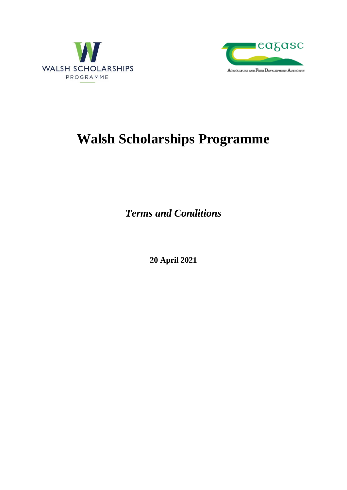



# **Walsh Scholarships Programme**

*Terms and Conditions*

**20 April 2021**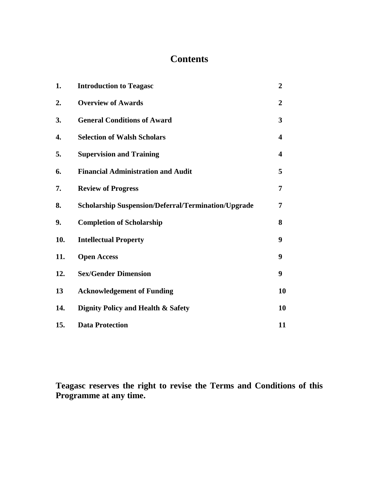# **Contents**

| 1.  | <b>Introduction to Teagasc</b>                             | $\overline{2}$ |
|-----|------------------------------------------------------------|----------------|
| 2.  | <b>Overview of Awards</b>                                  | $\overline{2}$ |
| 3.  | <b>General Conditions of Award</b>                         | 3              |
| 4.  | <b>Selection of Walsh Scholars</b>                         | 4              |
| 5.  | <b>Supervision and Training</b>                            | 4              |
| 6.  | <b>Financial Administration and Audit</b>                  | 5              |
| 7.  | <b>Review of Progress</b>                                  | 7              |
| 8.  | <b>Scholarship Suspension/Deferral/Termination/Upgrade</b> | 7              |
| 9.  | <b>Completion of Scholarship</b>                           | 8              |
| 10. | <b>Intellectual Property</b>                               | 9              |
| 11. | <b>Open Access</b>                                         | 9              |
| 12. | <b>Sex/Gender Dimension</b>                                | 9              |
| 13  | <b>Acknowledgement of Funding</b>                          | 10             |
| 14. | <b>Dignity Policy and Health &amp; Safety</b>              | 10             |
| 15. | <b>Data Protection</b>                                     | 11             |

**Teagasc reserves the right to revise the Terms and Conditions of this Programme at any time.**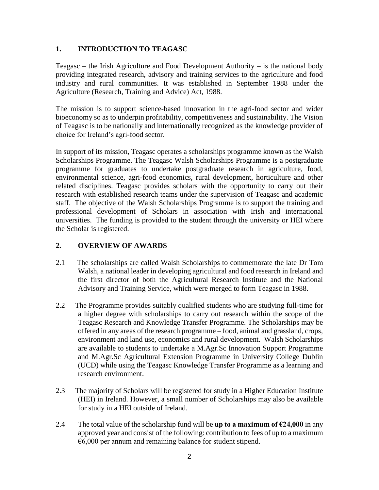## **1. INTRODUCTION TO TEAGASC**

Teagasc – the Irish Agriculture and Food Development Authority – is the national body providing integrated research, advisory and training services to the agriculture and food industry and rural communities. It was established in September 1988 under the Agriculture (Research, Training and Advice) Act, 1988.

The mission is to support science-based innovation in the agri-food sector and wider bioeconomy so as to underpin profitability, competitiveness and sustainability. The Vision of Teagasc is to be nationally and internationally recognized as the knowledge provider of choice for Ireland's agri-food sector.

In support of its mission, Teagasc operates a scholarships programme known as the Walsh Scholarships Programme. The Teagasc Walsh Scholarships Programme is a postgraduate programme for graduates to undertake postgraduate research in agriculture, food, environmental science, agri-food economics, rural development, horticulture and other related disciplines. Teagasc provides scholars with the opportunity to carry out their research with established research teams under the supervision of Teagasc and academic staff. The objective of the Walsh Scholarships Programme is to support the training and professional development of Scholars in association with Irish and international universities. The funding is provided to the student through the university or HEI where the Scholar is registered.

#### **2. OVERVIEW OF AWARDS**

- 2.1 The scholarships are called Walsh Scholarships to commemorate the late [Dr Tom](http://www.teagasc.ie/research/postgrad/tomwalsh.asp)  [Walsh,](http://www.teagasc.ie/research/postgrad/tomwalsh.asp) a national leader in developing agricultural and food research in Ireland and the first director of both the Agricultural Research Institute and the National Advisory and Training Service, which were merged to form Teagasc in 1988.
- 2.2 The Programme provides suitably qualified students who are studying full-time for a higher degree with scholarships to carry out research within the scope of the Teagasc Research and Knowledge Transfer Programme. The Scholarships may be offered in any areas of the research programme – food, animal and grassland, crops, environment and land use, economics and rural development. Walsh Scholarships are available to students to undertake a M.Agr.Sc Innovation Support Programme and M.Agr.Sc Agricultural Extension Programme in University College Dublin (UCD) while using the Teagasc Knowledge Transfer Programme as a learning and research environment.
- 2.3 The majority of Scholars will be registered for study in a Higher Education Institute (HEI) in Ireland. However, a small number of Scholarships may also be available for study in a HEI outside of Ireland.
- 2.4 The total value of the scholarship fund will be **up to a maximum of**  $\epsilon$ **24,000** in any approved year and consist of the following: contribution to fees of up to a maximum €6,000 per annum and remaining balance for student stipend.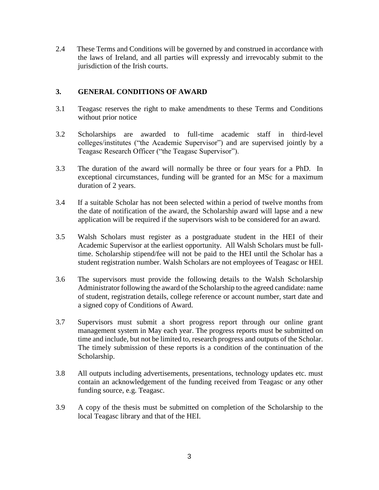2.4 These Terms and Conditions will be governed by and construed in accordance with the laws of Ireland, and all parties will expressly and irrevocably submit to the jurisdiction of the Irish courts.

#### **3. GENERAL CONDITIONS OF AWARD**

- 3.1 Teagasc reserves the right to make amendments to these Terms and Conditions without prior notice
- 3.2 Scholarships are awarded to full-time academic staff in third-level colleges/institutes ("the Academic Supervisor") and are supervised jointly by a Teagasc Research Officer ("the Teagasc Supervisor").
- 3.3 The duration of the award will normally be three or four years for a PhD. In exceptional circumstances, funding will be granted for an MSc for a maximum duration of 2 years.
- 3.4 If a suitable Scholar has not been selected within a period of twelve months from the date of notification of the award, the Scholarship award will lapse and a new application will be required if the supervisors wish to be considered for an award.
- 3.5 Walsh Scholars must register as a postgraduate student in the HEI of their Academic Supervisor at the earliest opportunity. All Walsh Scholars must be fulltime. Scholarship stipend/fee will not be paid to the HEI until the Scholar has a student registration number. Walsh Scholars are not employees of Teagasc or HEI.
- 3.6 The supervisors must provide the following details to the Walsh Scholarship Administrator following the award of the Scholarship to the agreed candidate: name of student, registration details, college reference or account number, start date and a signed copy of Conditions of Award.
- 3.7 Supervisors must submit a short progress report through our online grant management system in May each year. The progress reports must be submitted on time and include, but not be limited to, research progress and outputs of the Scholar. The timely submission of these reports is a condition of the continuation of the Scholarship.
- 3.8 All outputs including advertisements, presentations, technology updates etc. must contain an acknowledgement of the funding received from Teagasc or any other funding source, e.g. Teagasc.
- 3.9 A copy of the thesis must be submitted on completion of the Scholarship to the local Teagasc library and that of the HEI.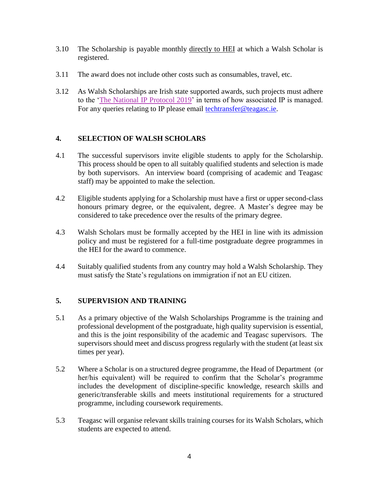- 3.10 The Scholarship is payable monthly directly to HEI at which a Walsh Scholar is registered.
- 3.11 The award does not include other costs such as consumables, travel, etc.
- 3.12 As Walsh Scholarships are Irish state supported awards, such projects must adhere to the ['The National IP Protocol 2019'](https://www.knowledgetransferireland.com/Reports-Publications/Ireland-s-National-IP-Protocol-2019-.pdf) in terms of how associated IP is managed. For any queries relating to IP please email [techtransfer@teagasc.ie.](mailto:techtransfer@teagasc.ie)

## **4. SELECTION OF WALSH SCHOLARS**

- 4.1 The successful supervisors invite eligible students to apply for the Scholarship. This process should be open to all suitably qualified students and selection is made by both supervisors. An interview board (comprising of academic and Teagasc staff) may be appointed to make the selection.
- 4.2 Eligible students applying for a Scholarship must have a first or upper second-class honours primary degree, or the equivalent, degree. A Master's degree may be considered to take precedence over the results of the primary degree.
- 4.3 Walsh Scholars must be formally accepted by the HEI in line with its admission policy and must be registered for a full-time postgraduate degree programmes in the HEI for the award to commence.
- 4.4 Suitably qualified students from any country may hold a Walsh Scholarship. They must satisfy the State's regulations on immigration if not an EU citizen.

# **5. SUPERVISION AND TRAINING**

- 5.1 As a primary objective of the Walsh Scholarships Programme is the training and professional development of the postgraduate, high quality supervision is essential, and this is the joint responsibility of the academic and Teagasc supervisors. The supervisors should meet and discuss progress regularly with the student (at least six times per year).
- 5.2 Where a Scholar is on a structured degree programme, the Head of Department (or her/his equivalent) will be required to confirm that the Scholar's programme includes the development of discipline-specific knowledge, research skills and generic/transferable skills and meets institutional requirements for a structured programme, including coursework requirements.
- 5.3 Teagasc will organise relevant skills training courses for its Walsh Scholars, which students are expected to attend.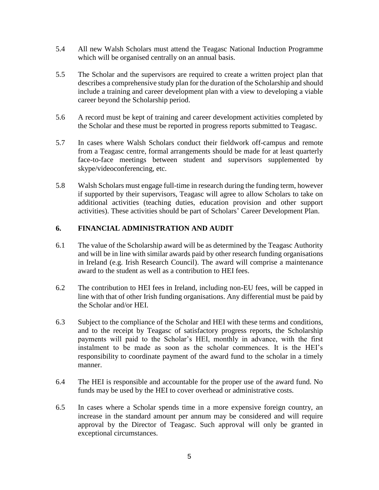- 5.4 All new Walsh Scholars must attend the Teagasc National Induction Programme which will be organised centrally on an annual basis.
- 5.5 The Scholar and the supervisors are required to create a written project plan that describes a comprehensive study plan for the duration of the Scholarship and should include a training and career development plan with a view to developing a viable career beyond the Scholarship period.
- 5.6 A record must be kept of training and career development activities completed by the Scholar and these must be reported in progress reports submitted to Teagasc.
- 5.7 In cases where Walsh Scholars conduct their fieldwork off-campus and remote from a Teagasc centre, formal arrangements should be made for at least quarterly face-to-face meetings between student and supervisors supplemented by skype/videoconferencing, etc.
- 5.8 Walsh Scholars must engage full-time in research during the funding term, however if supported by their supervisors, Teagasc will agree to allow Scholars to take on additional activities (teaching duties, education provision and other support activities). These activities should be part of Scholars' Career Development Plan.

#### **6. FINANCIAL ADMINISTRATION AND AUDIT**

- 6.1 The value of the Scholarship award will be as determined by the Teagasc Authority and will be in line with similar awards paid by other research funding organisations in Ireland (e.g. Irish Research Council). The award will comprise a maintenance award to the student as well as a contribution to HEI fees.
- 6.2 The contribution to HEI fees in Ireland, including non-EU fees, will be capped in line with that of other Irish funding organisations. Any differential must be paid by the Scholar and/or HEI.
- 6.3 Subject to the compliance of the Scholar and HEI with these terms and conditions, and to the receipt by Teagasc of satisfactory progress reports, the Scholarship payments will paid to the Scholar's HEI, monthly in advance, with the first instalment to be made as soon as the scholar commences. It is the HEI's responsibility to coordinate payment of the award fund to the scholar in a timely manner.
- 6.4 The HEI is responsible and accountable for the proper use of the award fund. No funds may be used by the HEI to cover overhead or administrative costs.
- 6.5 In cases where a Scholar spends time in a more expensive foreign country, an increase in the standard amount per annum may be considered and will require approval by the Director of Teagasc. Such approval will only be granted in exceptional circumstances.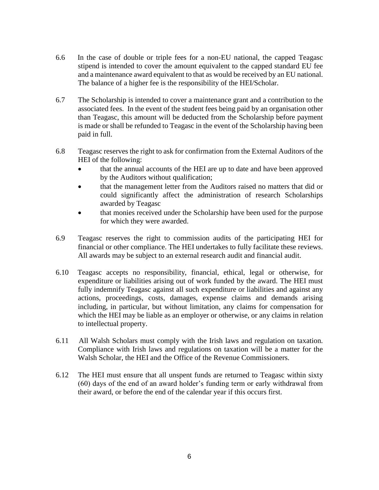- 6.6 In the case of double or triple fees for a non-EU national, the capped Teagasc stipend is intended to cover the amount equivalent to the capped standard EU fee and a maintenance award equivalent to that as would be received by an EU national. The balance of a higher fee is the responsibility of the HEI/Scholar.
- 6.7 The Scholarship is intended to cover a maintenance grant and a contribution to the associated fees. In the event of the student fees being paid by an organisation other than Teagasc, this amount will be deducted from the Scholarship before payment is made or shall be refunded to Teagasc in the event of the Scholarship having been paid in full.
- 6.8 Teagasc reserves the right to ask for confirmation from the External Auditors of the HEI of the following:
	- that the annual accounts of the HEI are up to date and have been approved by the Auditors without qualification;
	- that the management letter from the Auditors raised no matters that did or could significantly affect the administration of research Scholarships awarded by Teagasc
	- that monies received under the Scholarship have been used for the purpose for which they were awarded.
- 6.9 Teagasc reserves the right to commission audits of the participating HEI for financial or other compliance. The HEI undertakes to fully facilitate these reviews. All awards may be subject to an external research audit and financial audit.
- 6.10 Teagasc accepts no responsibility, financial, ethical, legal or otherwise, for expenditure or liabilities arising out of work funded by the award. The HEI must fully indemnify Teagasc against all such expenditure or liabilities and against any actions, proceedings, costs, damages, expense claims and demands arising including, in particular, but without limitation, any claims for compensation for which the HEI may be liable as an employer or otherwise, or any claims in relation to intellectual property.
- 6.11 All Walsh Scholars must comply with the Irish laws and regulation on taxation. Compliance with Irish laws and regulations on taxation will be a matter for the Walsh Scholar, the HEI and the Office of the Revenue Commissioners.
- 6.12 The HEI must ensure that all unspent funds are returned to Teagasc within sixty (60) days of the end of an award holder's funding term or early withdrawal from their award, or before the end of the calendar year if this occurs first.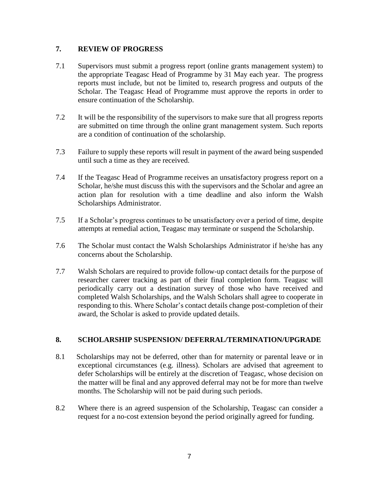#### **7. REVIEW OF PROGRESS**

- 7.1 Supervisors must submit a progress report (online grants management system) to the appropriate Teagasc Head of Programme by 31 May each year. The progress reports must include, but not be limited to, research progress and outputs of the Scholar. The Teagasc Head of Programme must approve the reports in order to ensure continuation of the Scholarship.
- 7.2 It will be the responsibility of the supervisors to make sure that all progress reports are submitted on time through the online grant management system. Such reports are a condition of continuation of the scholarship.
- 7.3 Failure to supply these reports will result in payment of the award being suspended until such a time as they are received.
- 7.4 If the Teagasc Head of Programme receives an unsatisfactory progress report on a Scholar, he/she must discuss this with the supervisors and the Scholar and agree an action plan for resolution with a time deadline and also inform the Walsh Scholarships Administrator.
- 7.5 If a Scholar's progress continues to be unsatisfactory over a period of time, despite attempts at remedial action, Teagasc may terminate or suspend the Scholarship.
- 7.6 The Scholar must contact the Walsh Scholarships Administrator if he/she has any concerns about the Scholarship.
- 7.7 Walsh Scholars are required to provide follow-up contact details for the purpose of researcher career tracking as part of their final completion form. Teagasc will periodically carry out a destination survey of those who have received and completed Walsh Scholarships, and the Walsh Scholars shall agree to cooperate in responding to this. Where Scholar's contact details change post-completion of their award, the Scholar is asked to provide updated details.

#### **8. SCHOLARSHIP SUSPENSION/ DEFERRAL/TERMINATION/UPGRADE**

- 8.1 Scholarships may not be deferred, other than for maternity or parental leave or in exceptional circumstances (e.g. illness). Scholars are advised that agreement to defer Scholarships will be entirely at the discretion of Teagasc, whose decision on the matter will be final and any approved deferral may not be for more than twelve months. The Scholarship will not be paid during such periods.
- 8.2 Where there is an agreed suspension of the Scholarship, Teagasc can consider a request for a no-cost extension beyond the period originally agreed for funding.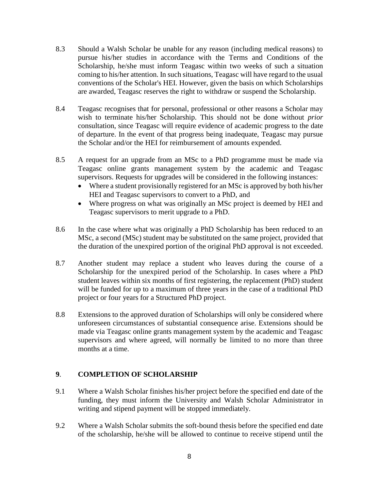- 8.3 Should a Walsh Scholar be unable for any reason (including medical reasons) to pursue his/her studies in accordance with the Terms and Conditions of the Scholarship, he/she must inform Teagasc within two weeks of such a situation coming to his/her attention. In such situations, Teagasc will have regard to the usual conventions of the Scholar's HEI. However, given the basis on which Scholarships are awarded, Teagasc reserves the right to withdraw or suspend the Scholarship.
- 8.4 Teagasc recognises that for personal, professional or other reasons a Scholar may wish to terminate his/her Scholarship. This should not be done without *prior*  consultation, since Teagasc will require evidence of academic progress to the date of departure. In the event of that progress being inadequate, Teagasc may pursue the Scholar and/or the HEI for reimbursement of amounts expended.
- 8.5 A request for an upgrade from an MSc to a PhD programme must be made via Teagasc online grants management system by the academic and Teagasc supervisors. Requests for upgrades will be considered in the following instances:
	- Where a student provisionally registered for an MSc is approved by both his/her HEI and Teagasc supervisors to convert to a PhD, and
	- Where progress on what was originally an MSc project is deemed by HEI and Teagasc supervisors to merit upgrade to a PhD.
- 8.6 In the case where what was originally a PhD Scholarship has been reduced to an MSc, a second (MSc) student may be substituted on the same project, provided that the duration of the unexpired portion of the original PhD approval is not exceeded.
- 8.7 Another student may replace a student who leaves during the course of a Scholarship for the unexpired period of the Scholarship. In cases where a PhD student leaves within six months of first registering, the replacement (PhD) student will be funded for up to a maximum of three years in the case of a traditional PhD project or four years for a Structured PhD project.
- 8.8 Extensions to the approved duration of Scholarships will only be considered where unforeseen circumstances of substantial consequence arise. Extensions should be made via Teagasc online grants management system by the academic and Teagasc supervisors and where agreed, will normally be limited to no more than three months at a time.

#### **9**. **COMPLETION OF SCHOLARSHIP**

- 9.1 Where a Walsh Scholar finishes his/her project before the specified end date of the funding, they must inform the University and Walsh Scholar Administrator in writing and stipend payment will be stopped immediately.
- 9.2 Where a Walsh Scholar submits the soft-bound thesis before the specified end date of the scholarship, he/she will be allowed to continue to receive stipend until the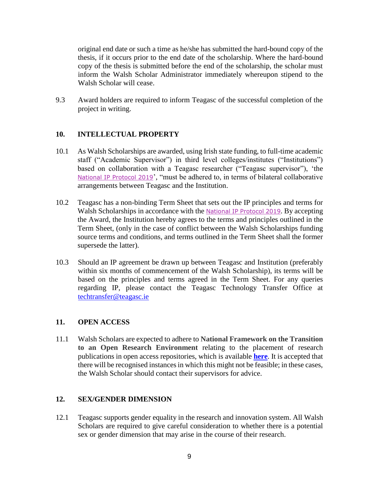original end date or such a time as he/she has submitted the hard-bound copy of the thesis, if it occurs prior to the end date of the scholarship. Where the hard-bound copy of the thesis is submitted before the end of the scholarship, the scholar must inform the Walsh Scholar Administrator immediately whereupon stipend to the Walsh Scholar will cease.

9.3 Award holders are required to inform Teagasc of the successful completion of the project in writing.

#### **10. INTELLECTUAL PROPERTY**

- 10.1 As Walsh Scholarships are awarded, using Irish state funding, to full-time academic staff ("Academic Supervisor") in third level colleges/institutes ("Institutions") based on collaboration with a Teagasc researcher ("Teagasc supervisor"), 'the [National IP Protocol 2019](https://www.knowledgetransferireland.com/Reports-Publications/Ireland-s-National-IP-Protocol-2019-.pdf)', "must be adhered to, in terms of bilateral collaborative arrangements between Teagasc and the Institution.
- 10.2 Teagasc has a non-binding Term Sheet that sets out the IP principles and terms for Walsh Scholarships in accordance with the National IP [Protocol 2019](https://www.knowledgetransferireland.com/Reports-Publications/Ireland-s-National-IP-Protocol-2019-.pdf). By accepting the Award, the Institution hereby agrees to the terms and principles outlined in the Term Sheet, (only in the case of conflict between the Walsh Scholarships funding source terms and conditions, and terms outlined in the Term Sheet shall the former supersede the latter).
- 10.3 Should an IP agreement be drawn up between Teagasc and Institution (preferably within six months of commencement of the Walsh Scholarship), its terms will be based on the principles and terms agreed in the Term Sheet. For any queries regarding IP, please contact the Teagasc Technology Transfer Office at [techtransfer@teagasc.ie](mailto:techtransfer@teagasc.ie)

#### **11. OPEN ACCESS**

11.1 Walsh Scholars are expected to adhere to **National Framework on the Transition to an Open Research Environment** relating to the placement of research publications in open access repositories, which is available **[here](https://repository.dri.ie/catalog/0287dj04d)**. It is accepted that there will be recognised instances in which this might not be feasible; in these cases, the Walsh Scholar should contact their supervisors for advice.

#### **12. SEX/GENDER DIMENSION**

12.1 Teagasc supports gender equality in the research and innovation system. All Walsh Scholars are required to give careful consideration to whether there is a potential sex or gender dimension that may arise in the course of their research.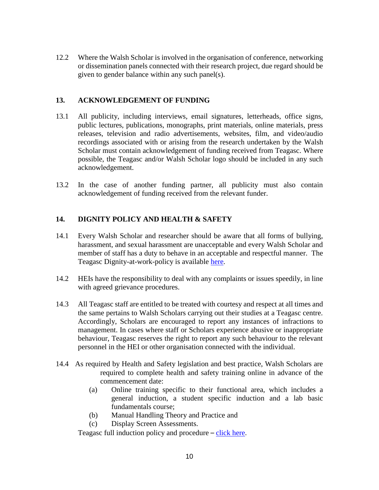12.2 Where the Walsh Scholar is involved in the organisation of conference, networking or dissemination panels connected with their research project, due regard should be given to gender balance within any such panel(s).

#### **13. ACKNOWLEDGEMENT OF FUNDING**

- 13.1 All publicity, including interviews, email signatures, letterheads, office signs, public lectures, publications, monographs, print materials, online materials, press releases, television and radio advertisements, websites, film, and video/audio recordings associated with or arising from the research undertaken by the Walsh Scholar must contain acknowledgement of funding received from Teagasc. Where possible, the Teagasc and/or Walsh Scholar logo should be included in any such acknowledgement.
- 13.2 In the case of another funding partner, all publicity must also contain acknowledgement of funding received from the relevant funder.

#### **14. DIGNITY POLICY AND HEALTH & SAFETY**

- 14.1 Every Walsh Scholar and researcher should be aware that all forms of bullying, harassment, and sexual harassment are unacceptable and every Walsh Scholar and member of staff has a duty to behave in an acceptable and respectful manner. The Teagasc Dignity-at-work-policy is available [here.](http://tnet.teagasc.net/hr/staff_handbook/docs/10.2-Dignity-at-Work-Policy.pdf)
- 14.2 HEIs have the responsibility to deal with any complaints or issues speedily, in line with agreed grievance procedures.
- 14.3 All Teagasc staff are entitled to be treated with courtesy and respect at all times and the same pertains to Walsh Scholars carrying out their studies at a Teagasc centre. Accordingly, Scholars are encouraged to report any instances of infractions to management. In cases where staff or Scholars experience abusive or inappropriate behaviour, Teagasc reserves the right to report any such behaviour to the relevant personnel in the HEI or other organisation connected with the individual.
- 14.4 As required by Health and Safety legislation and best practice, Walsh Scholars are required to complete health and safety training online in advance of the commencement date:
	- (a) Online training specific to their functional area, which includes a general induction, a student specific induction and a lab basic fundamentals course;
	- (b) Manual Handling Theory and Practice and
	- (c) Display Screen Assessments.

Teagasc full induction policy and procedure – [click here](http://dms/sites/research/Walsh%20Fellowship/Additional%20Documents/Terms%20and%20Conditions/2021/Documents/Health%20and%20Safety/OHS-038%20Health%20and%20Safety%20Induction%20Policy.pdf).